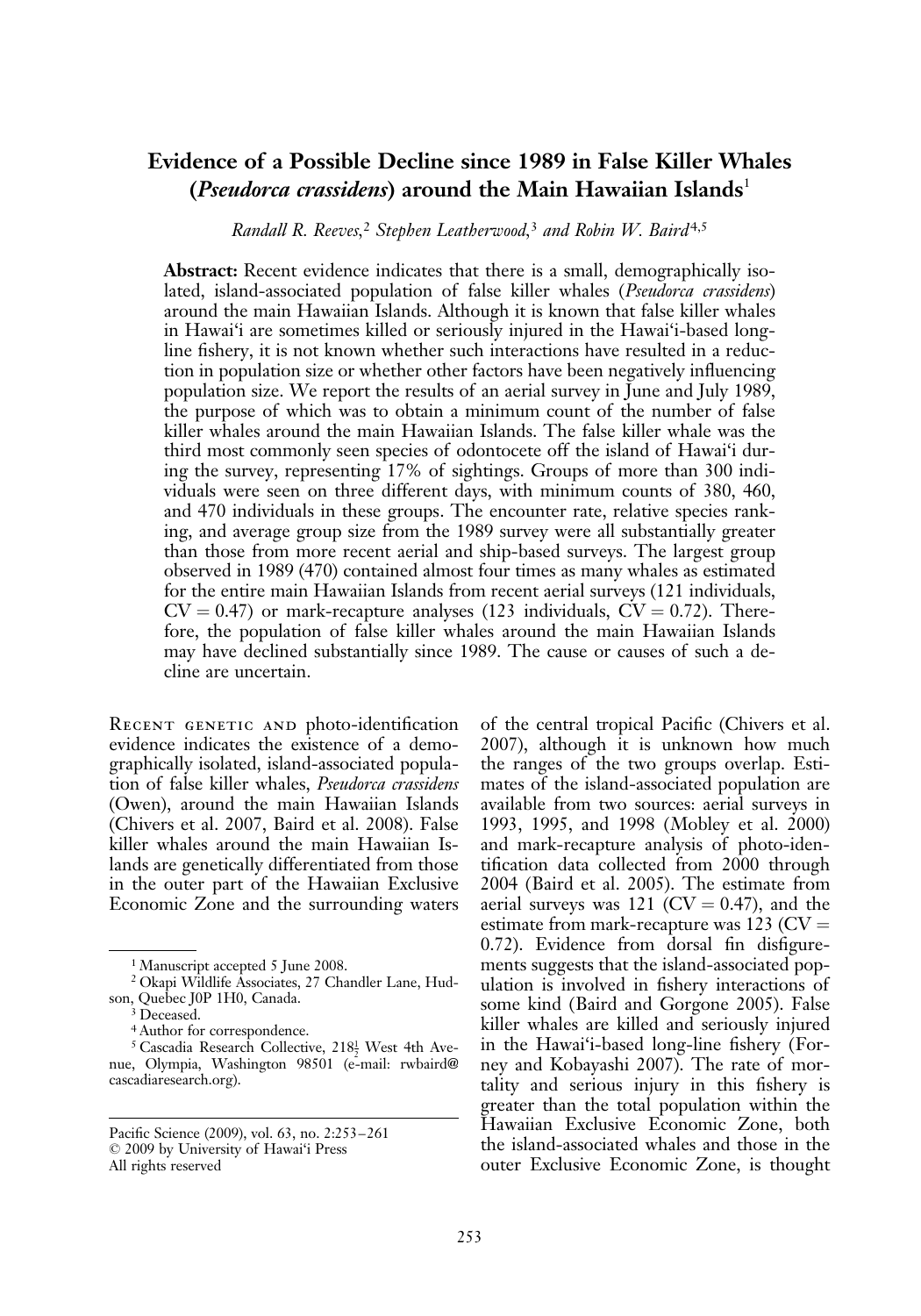# Evidence of a Possible Decline since 1989 in False Killer Whales (*Pseudorca crassidens*) around the Main Hawaiian Islands<sup>1</sup>

Randall R. Reeves,<sup>2</sup> Stephen Leatherwood,<sup>3</sup> and Robin W. Baird<sup>4,5</sup>

Abstract: Recent evidence indicates that there is a small, demographically isolated, island-associated population of false killer whales (Pseudorca crassidens) around the main Hawaiian Islands. Although it is known that false killer whales in Hawai'i are sometimes killed or seriously injured in the Hawai'i-based longline fishery, it is not known whether such interactions have resulted in a reduction in population size or whether other factors have been negatively influencing population size. We report the results of an aerial survey in June and July 1989, the purpose of which was to obtain a minimum count of the number of false killer whales around the main Hawaiian Islands. The false killer whale was the third most commonly seen species of odontocete off the island of Hawai'i during the survey, representing 17% of sightings. Groups of more than 300 individuals were seen on three different days, with minimum counts of 380, 460, and 470 individuals in these groups. The encounter rate, relative species ranking, and average group size from the 1989 survey were all substantially greater than those from more recent aerial and ship-based surveys. The largest group observed in 1989 (470) contained almost four times as many whales as estimated for the entire main Hawaiian Islands from recent aerial surveys (121 individuals,  $CV = 0.47$ ) or mark-recapture analyses (123 individuals,  $CV = 0.72$ ). Therefore, the population of false killer whales around the main Hawaiian Islands may have declined substantially since 1989. The cause or causes of such a decline are uncertain.

Recent genetic and photo-identification evidence indicates the existence of a demographically isolated, island-associated population of false killer whales, Pseudorca crassidens (Owen), around the main Hawaiian Islands (Chivers et al. 2007, Baird et al. 2008). False killer whales around the main Hawaiian Islands are genetically differentiated from those in the outer part of the Hawaiian Exclusive Economic Zone and the surrounding waters

of the central tropical Pacific (Chivers et al. 2007), although it is unknown how much the ranges of the two groups overlap. Estimates of the island-associated population are available from two sources: aerial surveys in 1993, 1995, and 1998 (Mobley et al. 2000) and mark-recapture analysis of photo-identification data collected from 2000 through 2004 (Baird et al. 2005). The estimate from aerial surveys was 121 ( $CV = 0.47$ ), and the estimate from mark-recapture was 123 ( $CV =$ 0.72). Evidence from dorsal fin disfigurements suggests that the island-associated population is involved in fishery interactions of some kind (Baird and Gorgone 2005). False killer whales are killed and seriously injured in the Hawai'i-based long-line fishery (Forney and Kobayashi 2007). The rate of mortality and serious injury in this fishery is greater than the total population within the Hawaiian Exclusive Economic Zone, both the island-associated whales and those in the outer Exclusive Economic Zone, is thought

<sup>&</sup>lt;sup>1</sup> Manuscript accepted 5 June 2008.

<sup>2</sup> Okapi Wildlife Associates, 27 Chandler Lane, Hudson, Quebec J0P 1H0, Canada.

<sup>&</sup>lt;sup>3</sup> Deceased.

<sup>4</sup> Author for correspondence.

 $5$  Cascadia Research Collective,  $218\frac{1}{2}$  West 4th Avenue, Olympia, Washington 98501 (e-mail: rwbaird@ cascadiaresearch.org).

Pacific Science (2009), vol. 63, no. 2:253–261  $© 2009$  by University of Hawai'i Press All rights reserved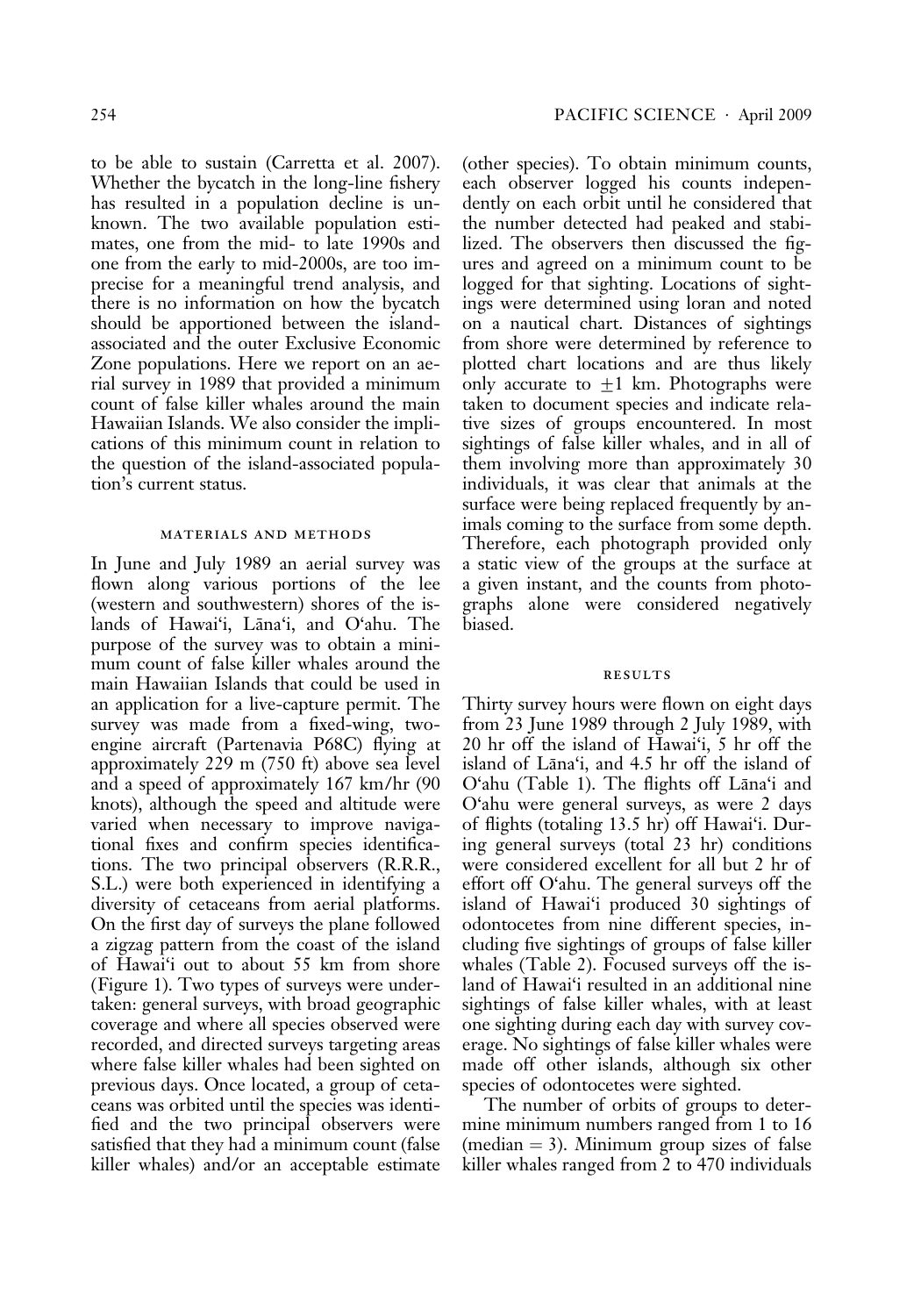to be able to sustain (Carretta et al. 2007). Whether the bycatch in the long-line fishery has resulted in a population decline is unknown. The two available population estimates, one from the mid- to late 1990s and one from the early to mid-2000s, are too imprecise for a meaningful trend analysis, and there is no information on how the bycatch should be apportioned between the islandassociated and the outer Exclusive Economic Zone populations. Here we report on an aerial survey in 1989 that provided a minimum count of false killer whales around the main Hawaiian Islands. We also consider the implications of this minimum count in relation to the question of the island-associated population's current status.

### materials and methods

In June and July 1989 an aerial survey was flown along various portions of the lee (western and southwestern) shores of the islands of Hawai'i, Lāna'i, and O'ahu. The purpose of the survey was to obtain a minimum count of false killer whales around the main Hawaiian Islands that could be used in an application for a live-capture permit. The survey was made from a fixed-wing, twoengine aircraft (Partenavia P68C) flying at approximately 229 m (750 ft) above sea level and a speed of approximately 167 km/hr (90 knots), although the speed and altitude were varied when necessary to improve navigational fixes and confirm species identifications. The two principal observers (R.R.R., S.L.) were both experienced in identifying a diversity of cetaceans from aerial platforms. On the first day of surveys the plane followed a zigzag pattern from the coast of the island of Hawai'i out to about 55 km from shore (Figure 1). Two types of surveys were undertaken: general surveys, with broad geographic coverage and where all species observed were recorded, and directed surveys targeting areas where false killer whales had been sighted on previous days. Once located, a group of cetaceans was orbited until the species was identified and the two principal observers were satisfied that they had a minimum count (false killer whales) and/or an acceptable estimate (other species). To obtain minimum counts, each observer logged his counts independently on each orbit until he considered that the number detected had peaked and stabilized. The observers then discussed the figures and agreed on a minimum count to be logged for that sighting. Locations of sightings were determined using loran and noted on a nautical chart. Distances of sightings from shore were determined by reference to plotted chart locations and are thus likely only accurate to  $\pm 1$  km. Photographs were taken to document species and indicate relative sizes of groups encountered. In most sightings of false killer whales, and in all of them involving more than approximately 30 individuals, it was clear that animals at the surface were being replaced frequently by animals coming to the surface from some depth. Therefore, each photograph provided only a static view of the groups at the surface at a given instant, and the counts from photographs alone were considered negatively biased.

#### **RESULTS**

Thirty survey hours were flown on eight days from 23 June 1989 through 2 July 1989, with 20 hr off the island of Hawai'i, 5 hr off the island of Lāna'i, and 4.5 hr off the island of  $O^t$ ahu (Table 1). The flights off Lana'i and O'ahu were general surveys, as were 2 days of flights (totaling 13.5 hr) off Hawai'i. During general surveys (total 23 hr) conditions were considered excellent for all but 2 hr of effort off O'ahu. The general surveys off the island of Hawai'i produced 30 sightings of odontocetes from nine different species, including five sightings of groups of false killer whales (Table 2). Focused surveys off the island of Hawai'i resulted in an additional nine sightings of false killer whales, with at least one sighting during each day with survey coverage. No sightings of false killer whales were made off other islands, although six other species of odontocetes were sighted.

The number of orbits of groups to determine minimum numbers ranged from 1 to 16 (median  $=$  3). Minimum group sizes of false killer whales ranged from 2 to 470 individuals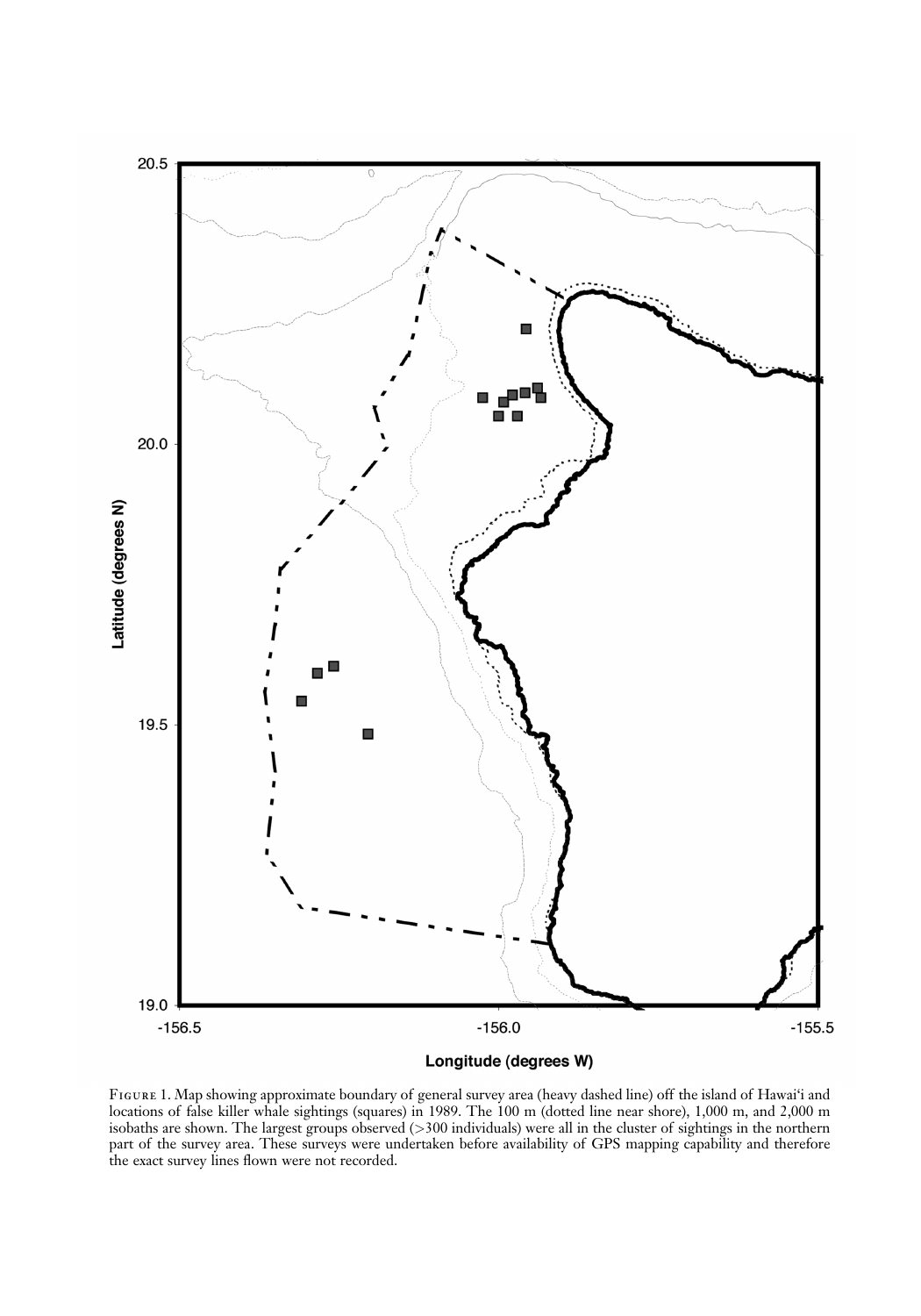

Figure 1. Map showing approximate boundary of general survey area (heavy dashed line) off the island of Hawai'i and locations of false killer whale sightings (squares) in 1989. The 100 m (dotted line near shore), 1,000 m, and 2,000 m isobaths are shown. The largest groups observed (>300 individuals) were all in the cluster of sightings in the northern part of the survey area. These surveys were undertaken before availability of GPS mapping capability and therefore the exact survey lines flown were not recorded.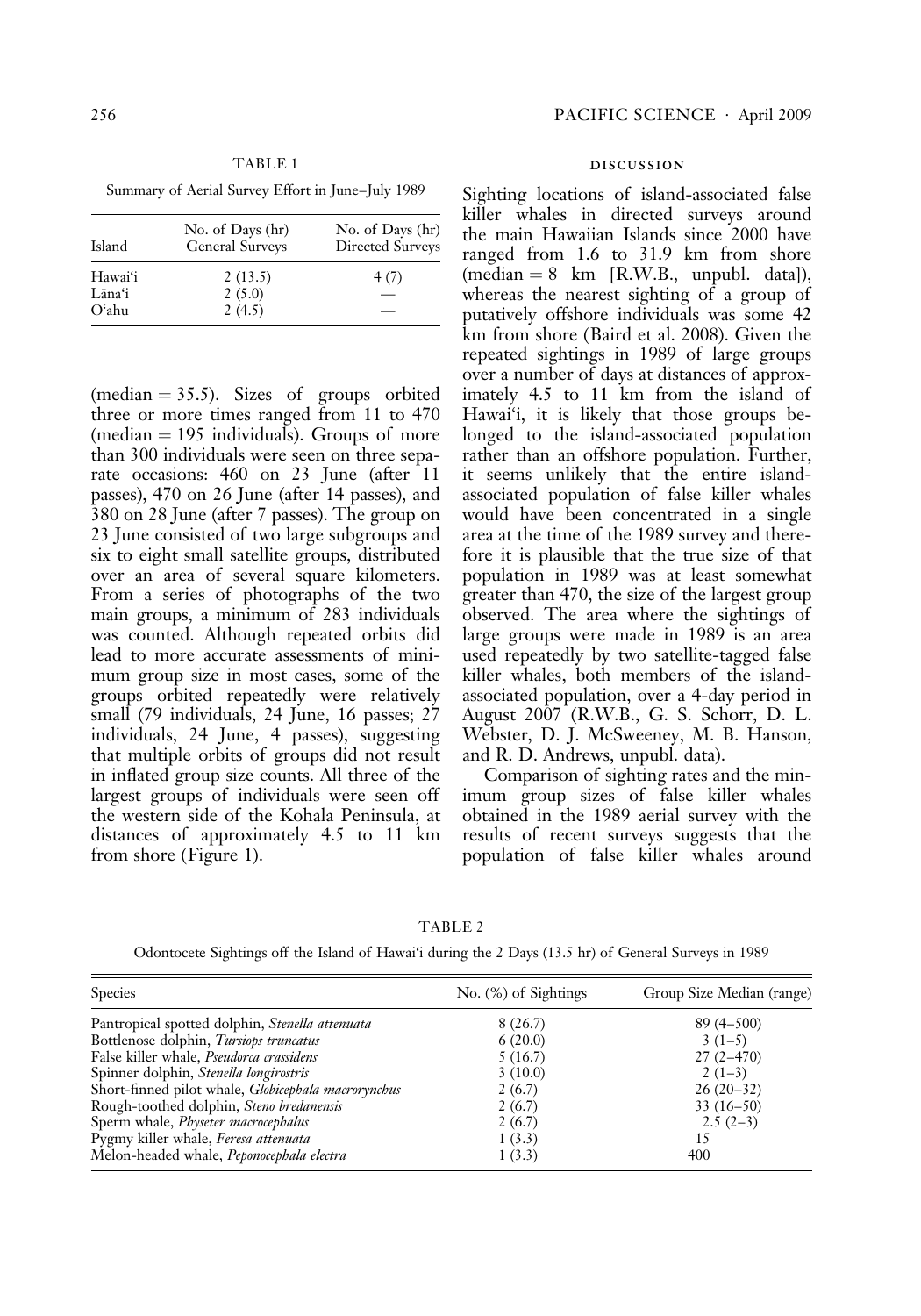TABLE 1 Summary of Aerial Survey Effort in June–July 1989

| Island  | No. of Days (hr)<br>General Surveys | No. of Days (hr)<br>Directed Surveys |
|---------|-------------------------------------|--------------------------------------|
| Hawaiʻi | 2(13.5)                             | 4(7)                                 |
| Lāna'i  | 2(5.0)                              |                                      |
| Oʻahu   | 2(4.5)                              |                                      |

(median  $= 35.5$ ). Sizes of groups orbited three or more times ranged from 11 to 470  $(median = 195$  individuals). Groups of more than 300 individuals were seen on three separate occasions: 460 on 23 June (after 11 passes), 470 on 26 June (after 14 passes), and 380 on 28 June (after 7 passes). The group on 23 June consisted of two large subgroups and six to eight small satellite groups, distributed over an area of several square kilometers. From a series of photographs of the two main groups, a minimum of 283 individuals was counted. Although repeated orbits did lead to more accurate assessments of minimum group size in most cases, some of the groups orbited repeatedly were relatively small (79 individuals, 24 June, 16 passes; 27 individuals, 24 June, 4 passes), suggesting that multiple orbits of groups did not result in inflated group size counts. All three of the largest groups of individuals were seen off the western side of the Kohala Peninsula, at distances of approximately 4.5 to 11 km from shore (Figure 1).

## discussion

Sighting locations of island-associated false killer whales in directed surveys around the main Hawaiian Islands since 2000 have ranged from 1.6 to 31.9 km from shore  $(median = 8 \ km [R.W.B., unpubl. data]),$ whereas the nearest sighting of a group of putatively offshore individuals was some 42 km from shore (Baird et al. 2008). Given the repeated sightings in 1989 of large groups over a number of days at distances of approximately 4.5 to 11 km from the island of Hawai'i, it is likely that those groups belonged to the island-associated population rather than an offshore population. Further, it seems unlikely that the entire islandassociated population of false killer whales would have been concentrated in a single area at the time of the 1989 survey and therefore it is plausible that the true size of that population in 1989 was at least somewhat greater than 470, the size of the largest group observed. The area where the sightings of large groups were made in 1989 is an area used repeatedly by two satellite-tagged false killer whales, both members of the islandassociated population, over a 4-day period in August 2007 (R.W.B., G. S. Schorr, D. L. Webster, D. J. McSweeney, M. B. Hanson, and R. D. Andrews, unpubl. data).

Comparison of sighting rates and the minimum group sizes of false killer whales obtained in the 1989 aerial survey with the results of recent surveys suggests that the population of false killer whales around

TABLE 2

Odontocete Sightings off the Island of Hawai'i during the 2 Days (13.5 hr) of General Surveys in 1989

| <b>Species</b>                                      | $No.$ (%) of Sightings | Group Size Median (range) |
|-----------------------------------------------------|------------------------|---------------------------|
| Pantropical spotted dolphin, Stenella attenuata     | 8(26.7)                | $89(4 - 500)$             |
| Bottlenose dolphin, Tursiops truncatus              | 6(20.0)                | $3(1-5)$                  |
| False killer whale, Pseudorca crassidens            | 5(16.7)                | $27(2 - 470)$             |
| Spinner dolphin, Stenella longirostris              | 3(10.0)                | $2(1-3)$                  |
| Short-finned pilot whale, Globicephala macrorynchus | 2(6.7)                 | $26(20-32)$               |
| Rough-toothed dolphin, Steno bredanensis            | 2(6.7)                 | $33(16-50)$               |
| Sperm whale, Physeter macrocephalus                 | 2(6.7)                 | $2.5(2-3)$                |
| Pygmy killer whale, Feresa attenuata                | 1(3.3)                 | 15                        |
| Melon-headed whale, Peponocephala electra           | 1(3.3)                 | 400                       |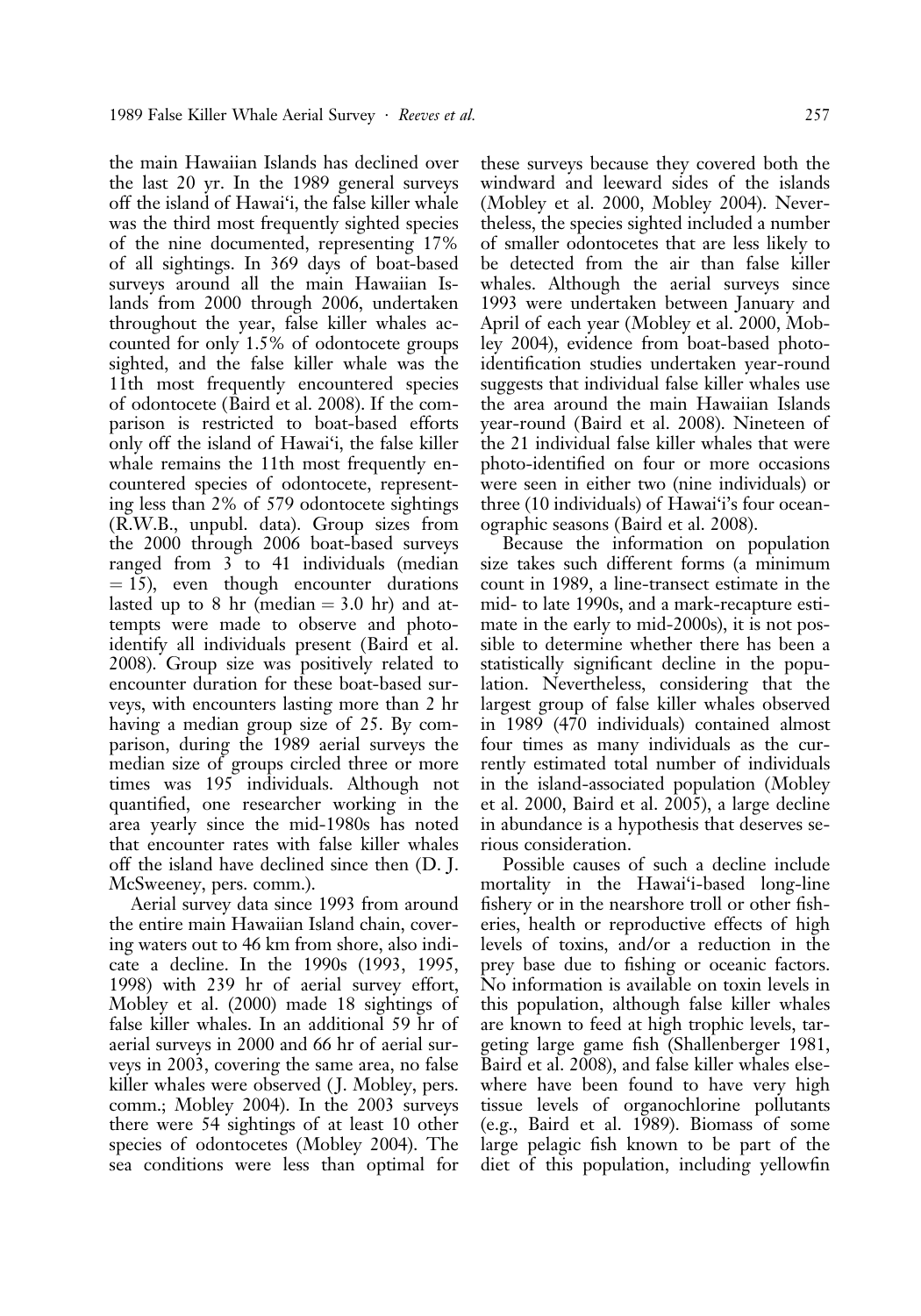the main Hawaiian Islands has declined over the last 20 yr. In the 1989 general surveys off the island of Hawai'i, the false killer whale was the third most frequently sighted species of the nine documented, representing 17% of all sightings. In 369 days of boat-based surveys around all the main Hawaiian Islands from 2000 through 2006, undertaken throughout the year, false killer whales accounted for only 1.5% of odontocete groups sighted, and the false killer whale was the 11th most frequently encountered species of odontocete (Baird et al. 2008). If the comparison is restricted to boat-based efforts only off the island of Hawai'i, the false killer whale remains the 11th most frequently encountered species of odontocete, representing less than 2% of 579 odontocete sightings (R.W.B., unpubl. data). Group sizes from the 2000 through 2006 boat-based surveys ranged from 3 to 41 individuals (median  $= 15$ ), even though encounter durations lasted up to 8 hr (median  $=$  3.0 hr) and attempts were made to observe and photoidentify all individuals present (Baird et al. 2008). Group size was positively related to encounter duration for these boat-based surveys, with encounters lasting more than 2 hr having a median group size of 25. By comparison, during the 1989 aerial surveys the median size of groups circled three or more times was 195 individuals. Although not quantified, one researcher working in the area yearly since the mid-1980s has noted that encounter rates with false killer whales off the island have declined since then (D. J. McSweeney, pers. comm.).

Aerial survey data since 1993 from around the entire main Hawaiian Island chain, covering waters out to 46 km from shore, also indicate a decline. In the 1990s (1993, 1995, 1998) with 239 hr of aerial survey effort, Mobley et al. (2000) made 18 sightings of false killer whales. In an additional 59 hr of aerial surveys in 2000 and 66 hr of aerial surveys in 2003, covering the same area, no false killer whales were observed ( J. Mobley, pers. comm.; Mobley 2004). In the 2003 surveys there were 54 sightings of at least 10 other species of odontocetes (Mobley 2004). The sea conditions were less than optimal for

these surveys because they covered both the windward and leeward sides of the islands (Mobley et al. 2000, Mobley 2004). Nevertheless, the species sighted included a number of smaller odontocetes that are less likely to be detected from the air than false killer whales. Although the aerial surveys since 1993 were undertaken between January and April of each year (Mobley et al. 2000, Mobley 2004), evidence from boat-based photoidentification studies undertaken year-round suggests that individual false killer whales use the area around the main Hawaiian Islands year-round (Baird et al. 2008). Nineteen of the 21 individual false killer whales that were photo-identified on four or more occasions were seen in either two (nine individuals) or three (10 individuals) of Hawai'i's four oceanographic seasons (Baird et al. 2008).

Because the information on population size takes such different forms (a minimum count in 1989, a line-transect estimate in the mid- to late 1990s, and a mark-recapture estimate in the early to mid-2000s), it is not possible to determine whether there has been a statistically significant decline in the population. Nevertheless, considering that the largest group of false killer whales observed in 1989 (470 individuals) contained almost four times as many individuals as the currently estimated total number of individuals in the island-associated population (Mobley et al. 2000, Baird et al. 2005), a large decline in abundance is a hypothesis that deserves serious consideration.

Possible causes of such a decline include mortality in the Hawai'i-based long-line fishery or in the nearshore troll or other fisheries, health or reproductive effects of high levels of toxins, and/or a reduction in the prey base due to fishing or oceanic factors. No information is available on toxin levels in this population, although false killer whales are known to feed at high trophic levels, targeting large game fish (Shallenberger 1981, Baird et al. 2008), and false killer whales elsewhere have been found to have very high tissue levels of organochlorine pollutants (e.g., Baird et al. 1989). Biomass of some large pelagic fish known to be part of the diet of this population, including yellowfin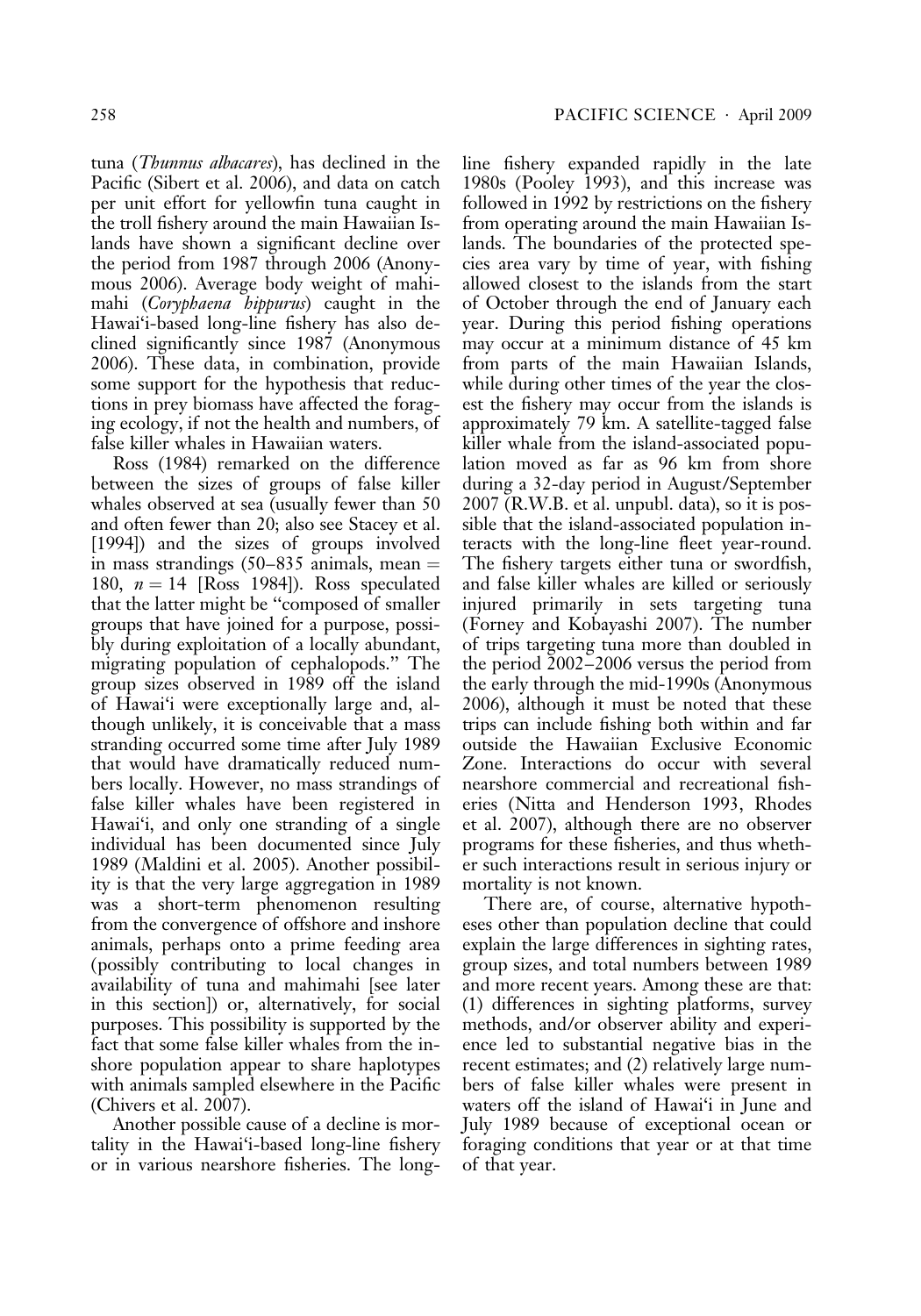tuna (Thunnus albacares), has declined in the Pacific (Sibert et al. 2006), and data on catch per unit effort for yellowfin tuna caught in the troll fishery around the main Hawaiian Islands have shown a significant decline over the period from 1987 through 2006 (Anonymous 2006). Average body weight of mahimahi (Coryphaena hippurus) caught in the Hawai'i-based long-line fishery has also declined significantly since 1987 (Anonymous 2006). These data, in combination, provide some support for the hypothesis that reductions in prey biomass have affected the foraging ecology, if not the health and numbers, of false killer whales in Hawaiian waters.

Ross (1984) remarked on the difference between the sizes of groups of false killer whales observed at sea (usually fewer than 50 and often fewer than 20; also see Stacey et al. [1994]) and the sizes of groups involved in mass strandings  $(50-835)$  animals, mean  $=$ 180,  $n = 14$  [Ross 1984]). Ross speculated that the latter might be ''composed of smaller groups that have joined for a purpose, possibly during exploitation of a locally abundant, migrating population of cephalopods.'' The group sizes observed in 1989 off the island of Hawai'i were exceptionally large and, although unlikely, it is conceivable that a mass stranding occurred some time after July 1989 that would have dramatically reduced numbers locally. However, no mass strandings of false killer whales have been registered in Hawai'i, and only one stranding of a single individual has been documented since July 1989 (Maldini et al. 2005). Another possibility is that the very large aggregation in 1989 was a short-term phenomenon resulting from the convergence of offshore and inshore animals, perhaps onto a prime feeding area (possibly contributing to local changes in availability of tuna and mahimahi [see later in this section]) or, alternatively, for social purposes. This possibility is supported by the fact that some false killer whales from the inshore population appear to share haplotypes with animals sampled elsewhere in the Pacific (Chivers et al. 2007).

Another possible cause of a decline is mortality in the Hawai'i-based long-line fishery or in various nearshore fisheries. The longline fishery expanded rapidly in the late 1980s (Pooley 1993), and this increase was followed in 1992 by restrictions on the fishery from operating around the main Hawaiian Islands. The boundaries of the protected species area vary by time of year, with fishing allowed closest to the islands from the start of October through the end of January each year. During this period fishing operations may occur at a minimum distance of 45 km from parts of the main Hawaiian Islands, while during other times of the year the closest the fishery may occur from the islands is approximately 79 km. A satellite-tagged false killer whale from the island-associated population moved as far as 96 km from shore during a 32-day period in August/September 2007 (R.W.B. et al. unpubl. data), so it is possible that the island-associated population interacts with the long-line fleet year-round. The fishery targets either tuna or swordfish, and false killer whales are killed or seriously injured primarily in sets targeting tuna (Forney and Kobayashi 2007). The number of trips targeting tuna more than doubled in the period 2002–2006 versus the period from the early through the mid-1990s (Anonymous 2006), although it must be noted that these trips can include fishing both within and far outside the Hawaiian Exclusive Economic Zone. Interactions do occur with several nearshore commercial and recreational fisheries (Nitta and Henderson 1993, Rhodes et al. 2007), although there are no observer programs for these fisheries, and thus whether such interactions result in serious injury or mortality is not known.

There are, of course, alternative hypotheses other than population decline that could explain the large differences in sighting rates, group sizes, and total numbers between 1989 and more recent years. Among these are that: (1) differences in sighting platforms, survey methods, and/or observer ability and experience led to substantial negative bias in the recent estimates; and (2) relatively large numbers of false killer whales were present in waters off the island of Hawai'i in June and July 1989 because of exceptional ocean or foraging conditions that year or at that time of that year.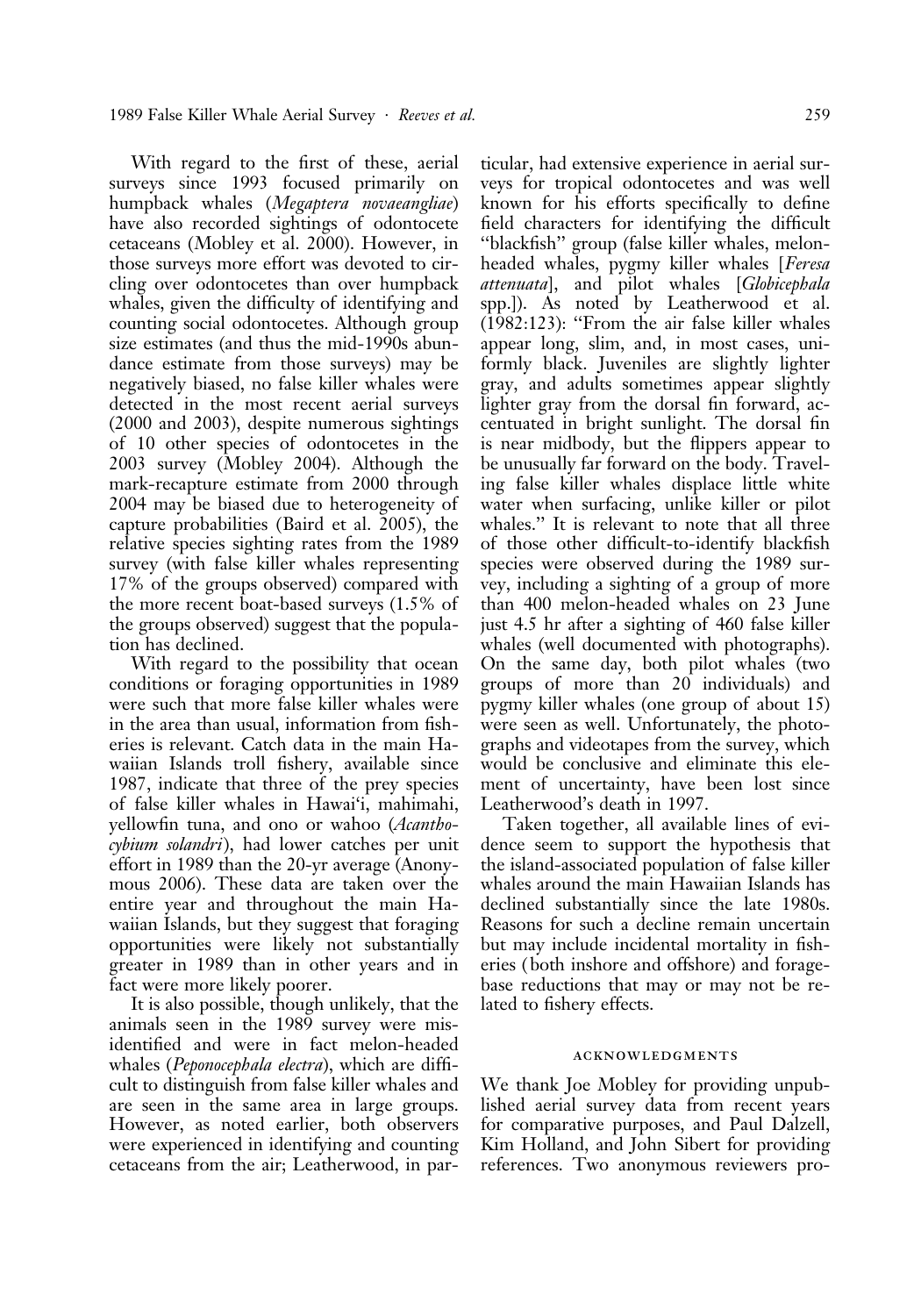With regard to the first of these, aerial surveys since 1993 focused primarily on humpback whales (Megaptera novaeangliae) have also recorded sightings of odontocete cetaceans (Mobley et al. 2000). However, in those surveys more effort was devoted to circling over odontocetes than over humpback whales, given the difficulty of identifying and counting social odontocetes. Although group size estimates (and thus the mid-1990s abundance estimate from those surveys) may be negatively biased, no false killer whales were detected in the most recent aerial surveys (2000 and 2003), despite numerous sightings of 10 other species of odontocetes in the 2003 survey (Mobley 2004). Although the mark-recapture estimate from 2000 through 2004 may be biased due to heterogeneity of capture probabilities (Baird et al. 2005), the relative species sighting rates from the 1989 survey (with false killer whales representing 17% of the groups observed) compared with the more recent boat-based surveys (1.5% of the groups observed) suggest that the population has declined.

With regard to the possibility that ocean conditions or foraging opportunities in 1989 were such that more false killer whales were in the area than usual, information from fisheries is relevant. Catch data in the main Hawaiian Islands troll fishery, available since 1987, indicate that three of the prey species of false killer whales in Hawai'i, mahimahi, yellowfin tuna, and ono or wahoo (Acanthocybium solandri), had lower catches per unit effort in 1989 than the 20-yr average (Anonymous 2006). These data are taken over the entire year and throughout the main Hawaiian Islands, but they suggest that foraging opportunities were likely not substantially greater in 1989 than in other years and in fact were more likely poorer.

It is also possible, though unlikely, that the animals seen in the 1989 survey were misidentified and were in fact melon-headed whales (*Peponocephala electra*), which are difficult to distinguish from false killer whales and are seen in the same area in large groups. However, as noted earlier, both observers were experienced in identifying and counting cetaceans from the air; Leatherwood, in par-

ticular, had extensive experience in aerial surveys for tropical odontocetes and was well known for his efforts specifically to define field characters for identifying the difficult ''blackfish'' group (false killer whales, melonheaded whales, pygmy killer whales [Feresa attenuata], and pilot whales [Globicephala spp.]). As noted by Leatherwood et al. (1982:123): ''From the air false killer whales appear long, slim, and, in most cases, uniformly black. Juveniles are slightly lighter gray, and adults sometimes appear slightly lighter gray from the dorsal fin forward, accentuated in bright sunlight. The dorsal fin is near midbody, but the flippers appear to be unusually far forward on the body. Traveling false killer whales displace little white water when surfacing, unlike killer or pilot whales." It is relevant to note that all three of those other difficult-to-identify blackfish species were observed during the 1989 survey, including a sighting of a group of more than 400 melon-headed whales on 23 June just 4.5 hr after a sighting of 460 false killer whales (well documented with photographs). On the same day, both pilot whales (two groups of more than 20 individuals) and pygmy killer whales (one group of about 15) were seen as well. Unfortunately, the photographs and videotapes from the survey, which would be conclusive and eliminate this element of uncertainty, have been lost since Leatherwood's death in 1997.

Taken together, all available lines of evidence seem to support the hypothesis that the island-associated population of false killer whales around the main Hawaiian Islands has declined substantially since the late 1980s. Reasons for such a decline remain uncertain but may include incidental mortality in fisheries ( both inshore and offshore) and foragebase reductions that may or may not be related to fishery effects.

# acknowledgments

We thank Joe Mobley for providing unpublished aerial survey data from recent years for comparative purposes, and Paul Dalzell, Kim Holland, and John Sibert for providing references. Two anonymous reviewers pro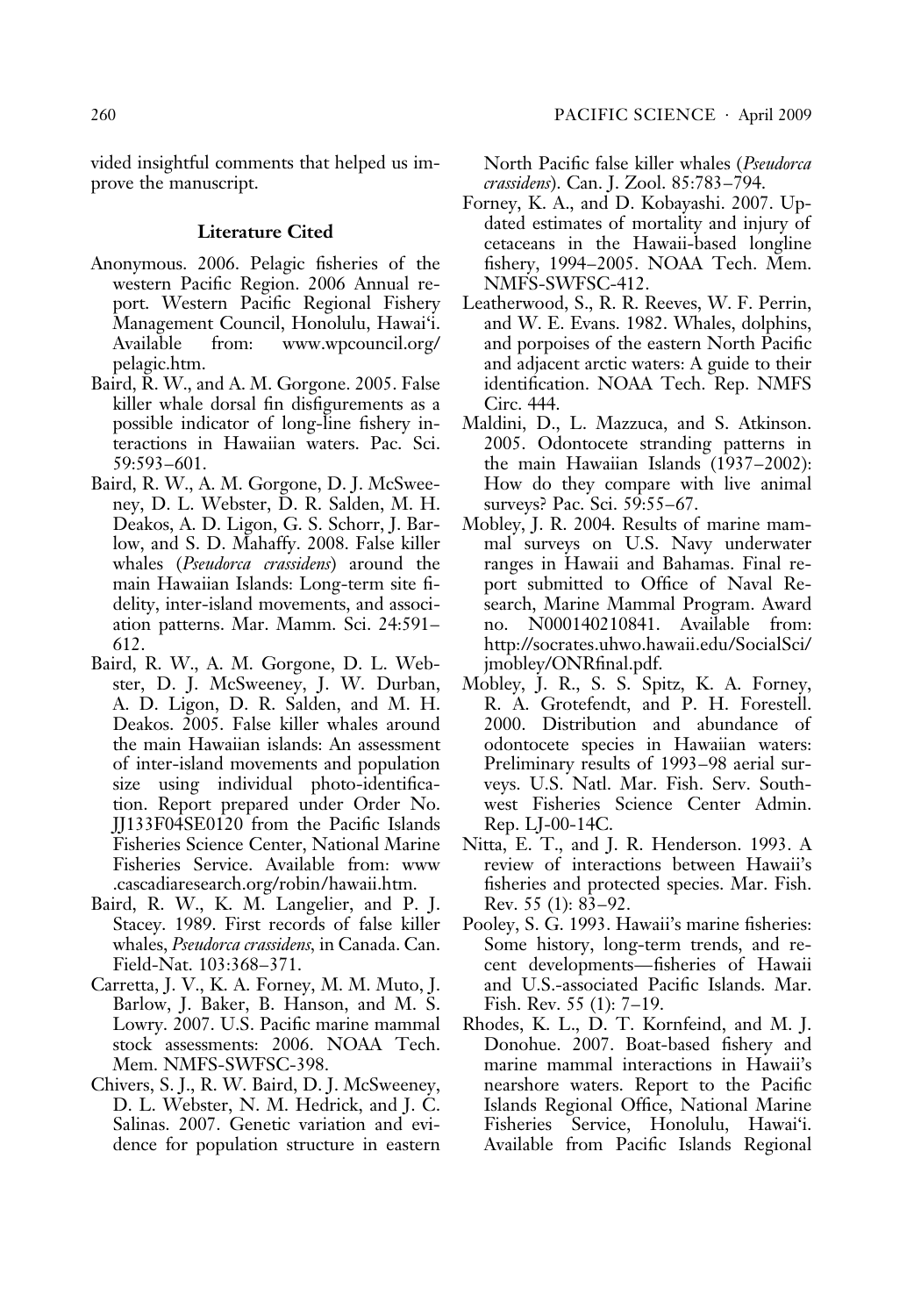vided insightful comments that helped us improve the manuscript.

# Literature Cited

- Anonymous. 2006. Pelagic fisheries of the western Pacific Region. 2006 Annual report. Western Pacific Regional Fishery Management Council, Honolulu, Hawai'i. Available from: www.wpcouncil.org/ pelagic.htm.
- Baird, R. W., and A. M. Gorgone. 2005. False killer whale dorsal fin disfigurements as a possible indicator of long-line fishery interactions in Hawaiian waters. Pac. Sci. 59:593–601.
- Baird, R. W., A. M. Gorgone, D. J. McSweeney, D. L. Webster, D. R. Salden, M. H. Deakos, A. D. Ligon, G. S. Schorr, J. Barlow, and S. D. Mahaffy. 2008. False killer whales (*Pseudorca crassidens*) around the main Hawaiian Islands: Long-term site fidelity, inter-island movements, and association patterns. Mar. Mamm. Sci. 24:591– 612.
- Baird, R. W., A. M. Gorgone, D. L. Webster, D. J. McSweeney, J. W. Durban, A. D. Ligon, D. R. Salden, and M. H. Deakos. 2005. False killer whales around the main Hawaiian islands: An assessment of inter-island movements and population size using individual photo-identification. Report prepared under Order No. JJ133F04SE0120 from the Pacific Islands Fisheries Science Center, National Marine Fisheries Service. Available from: www .cascadiaresearch.org/robin/hawaii.htm.
- Baird, R. W., K. M. Langelier, and P. J. Stacey. 1989. First records of false killer whales, *Pseudorca crassidens*, in Canada. Can. Field-Nat. 103:368–371.
- Carretta, J. V., K. A. Forney, M. M. Muto, J. Barlow, J. Baker, B. Hanson, and M. S. Lowry. 2007. U.S. Pacific marine mammal stock assessments: 2006. NOAA Tech. Mem. NMFS-SWFSC-398.
- Chivers, S. J., R. W. Baird, D. J. McSweeney, D. L. Webster, N. M. Hedrick, and J. C. Salinas. 2007. Genetic variation and evidence for population structure in eastern

North Pacific false killer whales (Pseudorca crassidens). Can. J. Zool. 85:783–794.

- Forney, K. A., and D. Kobayashi. 2007. Updated estimates of mortality and injury of cetaceans in the Hawaii-based longline fishery, 1994–2005. NOAA Tech. Mem. NMFS-SWFSC-412.
- Leatherwood, S., R. R. Reeves, W. F. Perrin, and W. E. Evans. 1982. Whales, dolphins, and porpoises of the eastern North Pacific and adjacent arctic waters: A guide to their identification. NOAA Tech. Rep. NMFS Circ. 444.
- Maldini, D., L. Mazzuca, and S. Atkinson. 2005. Odontocete stranding patterns in the main Hawaiian Islands (1937–2002): How do they compare with live animal surveys? Pac. Sci. 59:55–67.
- Mobley, J. R. 2004. Results of marine mammal surveys on U.S. Navy underwater ranges in Hawaii and Bahamas. Final report submitted to Office of Naval Research, Marine Mammal Program. Award no. N000140210841. Available from: http://socrates.uhwo.hawaii.edu/SocialSci/ jmobley/ONRfinal.pdf.
- Mobley, J. R., S. S. Spitz, K. A. Forney, R. A. Grotefendt, and P. H. Forestell. 2000. Distribution and abundance of odontocete species in Hawaiian waters: Preliminary results of 1993–98 aerial surveys. U.S. Natl. Mar. Fish. Serv. Southwest Fisheries Science Center Admin. Rep. LJ-00-14C.
- Nitta, E. T., and J. R. Henderson. 1993. A review of interactions between Hawaii's fisheries and protected species. Mar. Fish. Rev. 55 (1): 83–92.
- Pooley, S. G. 1993. Hawaii's marine fisheries: Some history, long-term trends, and recent developments—fisheries of Hawaii and U.S.-associated Pacific Islands. Mar. Fish. Rev. 55 (1): 7–19.
- Rhodes, K. L., D. T. Kornfeind, and M. J. Donohue. 2007. Boat-based fishery and marine mammal interactions in Hawaii's nearshore waters. Report to the Pacific Islands Regional Office, National Marine Fisheries Service, Honolulu, Hawai'i. Available from Pacific Islands Regional